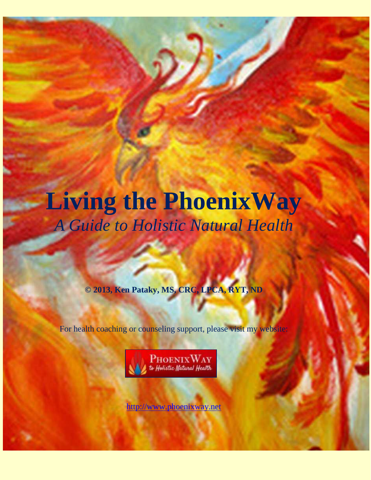## **Living the PhoenixWay**  *A Guide to Holistic Natural Health*

**© 2013, Ken Pataky, MS, CRC, LPCA, RYT, ND**

For health coaching or counseling support, please visit my website:



[http://www.phoenixway.net](http://www.phoenixway.net/)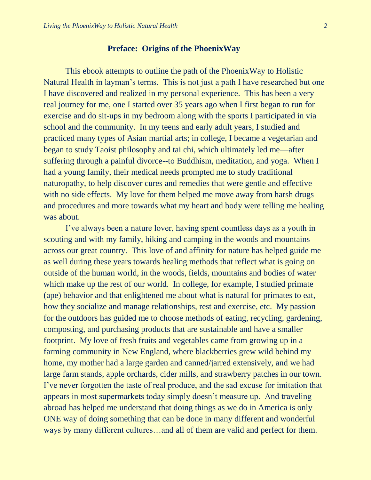## **Preface: Origins of the PhoenixWay**

<span id="page-1-0"></span>This ebook attempts to outline the path of the PhoenixWay to Holistic Natural Health in layman's terms. This is not just a path I have researched but one I have discovered and realized in my personal experience. This has been a very real journey for me, one I started over 35 years ago when I first began to run for exercise and do sit-ups in my bedroom along with the sports I participated in via school and the community. In my teens and early adult years, I studied and practiced many types of Asian martial arts; in college, I became a vegetarian and began to study Taoist philosophy and tai chi, which ultimately led me—after suffering through a painful divorce--to Buddhism, meditation, and yoga. When I had a young family, their medical needs prompted me to study traditional naturopathy, to help discover cures and remedies that were gentle and effective with no side effects. My love for them helped me move away from harsh drugs and procedures and more towards what my heart and body were telling me healing was about.

I've always been a nature lover, having spent countless days as a youth in scouting and with my family, hiking and camping in the woods and mountains across our great country. This love of and affinity for nature has helped guide me as well during these years towards healing methods that reflect what is going on outside of the human world, in the woods, fields, mountains and bodies of water which make up the rest of our world. In college, for example, I studied primate (ape) behavior and that enlightened me about what is natural for primates to eat, how they socialize and manage relationships, rest and exercise, etc. My passion for the outdoors has guided me to choose methods of eating, recycling, gardening, composting, and purchasing products that are sustainable and have a smaller footprint. My love of fresh fruits and vegetables came from growing up in a farming community in New England, where blackberries grew wild behind my home, my mother had a large garden and canned/jarred extensively, and we had large farm stands, apple orchards, cider mills, and strawberry patches in our town. I've never forgotten the taste of real produce, and the sad excuse for imitation that appears in most supermarkets today simply doesn't measure up. And traveling abroad has helped me understand that doing things as we do in America is only ONE way of doing something that can be done in many different and wonderful ways by many different cultures…and all of them are valid and perfect for them.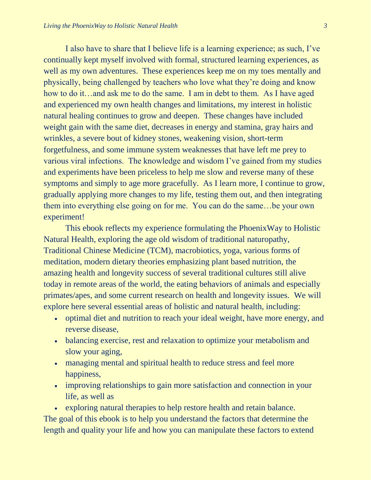I also have to share that I believe life is a learning experience; as such, I've continually kept myself involved with formal, structured learning experiences, as well as my own adventures. These experiences keep me on my toes mentally and physically, being challenged by teachers who love what they're doing and know how to do it…and ask me to do the same. I am in debt to them. As I have aged and experienced my own health changes and limitations, my interest in holistic natural healing continues to grow and deepen. These changes have included weight gain with the same diet, decreases in energy and stamina, gray hairs and wrinkles, a severe bout of kidney stones, weakening vision, short-term forgetfulness, and some immune system weaknesses that have left me prey to various viral infections. The knowledge and wisdom I've gained from my studies and experiments have been priceless to help me slow and reverse many of these symptoms and simply to age more gracefully. As I learn more, I continue to grow, gradually applying more changes to my life, testing them out, and then integrating them into everything else going on for me. You can do the same…be your own experiment!

This ebook reflects my experience formulating the PhoenixWay to Holistic Natural Health, exploring the age old wisdom of traditional naturopathy, Traditional Chinese Medicine (TCM), macrobiotics, yoga, various forms of meditation, modern dietary theories emphasizing plant based nutrition, the amazing health and longevity success of several traditional cultures still alive today in remote areas of the world, the eating behaviors of animals and especially primates/apes, and some current research on health and longevity issues. We will explore here several essential areas of holistic and natural health, including:

- optimal diet and nutrition to reach your ideal weight, have more energy, and reverse disease,
- balancing exercise, rest and relaxation to optimize your metabolism and slow your aging,
- managing mental and spiritual health to reduce stress and feel more happiness,
- improving relationships to gain more satisfaction and connection in your life, as well as

 exploring natural therapies to help restore health and retain balance. The goal of this ebook is to help you understand the factors that determine the length and quality your life and how you can manipulate these factors to extend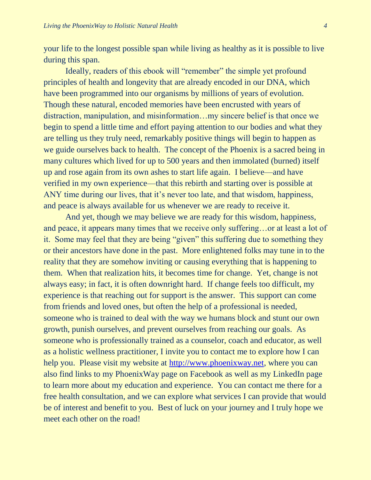your life to the longest possible span while living as healthy as it is possible to live during this span.

Ideally, readers of this ebook will "remember" the simple yet profound principles of health and longevity that are already encoded in our DNA, which have been programmed into our organisms by millions of years of evolution. Though these natural, encoded memories have been encrusted with years of distraction, manipulation, and misinformation…my sincere belief is that once we begin to spend a little time and effort paying attention to our bodies and what they are telling us they truly need, remarkably positive things will begin to happen as we guide ourselves back to health. The concept of the Phoenix is a sacred being in many cultures which lived for up to 500 years and then immolated (burned) itself up and rose again from its own ashes to start life again. I believe—and have verified in my own experience—that this rebirth and starting over is possible at ANY time during our lives, that it's never too late, and that wisdom, happiness, and peace is always available for us whenever we are ready to receive it.

And yet, though we may believe we are ready for this wisdom, happiness, and peace, it appears many times that we receive only suffering…or at least a lot of it. Some may feel that they are being "given" this suffering due to something they or their ancestors have done in the past. More enlightened folks may tune in to the reality that they are somehow inviting or causing everything that is happening to them. When that realization hits, it becomes time for change. Yet, change is not always easy; in fact, it is often downright hard. If change feels too difficult, my experience is that reaching out for support is the answer. This support can come from friends and loved ones, but often the help of a professional is needed, someone who is trained to deal with the way we humans block and stunt our own growth, punish ourselves, and prevent ourselves from reaching our goals. As someone who is professionally trained as a counselor, coach and educator, as well as a holistic wellness practitioner, I invite you to contact me to explore how I can help you. Please visit my website at [http://www.phoenixway.net,](http://www.phoenixway.net/) where you can also find links to my PhoenixWay page on Facebook as well as my LinkedIn page to learn more about my education and experience. You can contact me there for a free health consultation, and we can explore what services I can provide that would be of interest and benefit to you. Best of luck on your journey and I truly hope we meet each other on the road!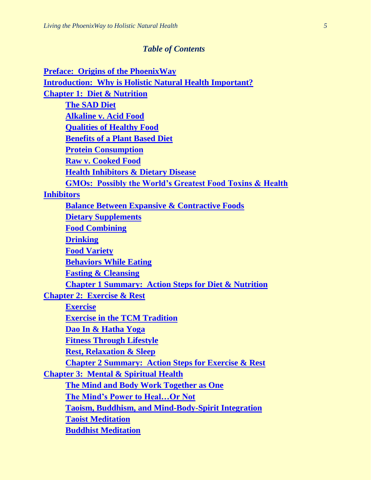## *Table of Contents*

| <b>Preface: Origins of the PhoenixWay</b>                           |
|---------------------------------------------------------------------|
| <b>Introduction: Why is Holistic Natural Health Important?</b>      |
| <b>Chapter 1: Diet &amp; Nutrition</b>                              |
| <b>The SAD Diet</b>                                                 |
| <b>Alkaline v. Acid Food</b>                                        |
| <b>Qualities of Healthy Food</b>                                    |
| <b>Benefits of a Plant Based Diet</b>                               |
| <b>Protein Consumption</b>                                          |
| <b>Raw v. Cooked Food</b>                                           |
| <b>Health Inhibitors &amp; Dietary Disease</b>                      |
| <b>GMOs: Possibly the World's Greatest Food Toxins &amp; Health</b> |
| <b>Inhibitors</b>                                                   |
| <b>Balance Between Expansive &amp; Contractive Foods</b>            |
| <b>Dietary Supplements</b>                                          |
| <b>Food Combining</b>                                               |
| <b>Drinking</b>                                                     |
| <b>Food Variety</b>                                                 |
| <b>Behaviors While Eating</b>                                       |
| <b>Fasting &amp; Cleansing</b>                                      |
| <b>Chapter 1 Summary: Action Steps for Diet &amp; Nutrition</b>     |
| <b>Chapter 2: Exercise &amp; Rest</b>                               |
| <b>Exercise</b>                                                     |
| <b>Exercise in the TCM Tradition</b>                                |
| Dao In & Hatha Yoga                                                 |
| <b>Fitness Through Lifestyle</b>                                    |
| <b>Rest, Relaxation &amp; Sleep</b>                                 |
| <b>Chapter 2 Summary: Action Steps for Exercise &amp; Rest</b>      |
| <b>Chapter 3: Mental &amp; Spiritual Health</b>                     |
| <b>The Mind and Body Work Together as One</b>                       |
| <b>The Mind's Power to HealOr Not</b>                               |
| <b>Taoism, Buddhism, and Mind-Body-Spirit Integration</b>           |
| <b>Taoist Meditation</b>                                            |
| <b>Buddhist Meditation</b>                                          |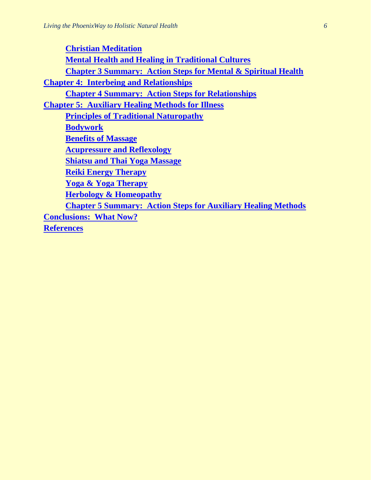<span id="page-5-0"></span>**Christian Meditation Mental Health and Healing in Traditional Cultures Chapter 3 Summary: Action Steps for Mental & Spiritual Health Chapter 4: Interbeing and Relationships Chapter 4 Summary: Action Steps for Relationships Chapter 5: Auxiliary Healing Methods for Illness Principles of Traditional Naturopathy Bodywork Benefits of Massage Acupressure and Reflexology Shiatsu and Thai Yoga Massage Reiki Energy Therapy Yoga & Yoga Therapy Herbology & Homeopathy Chapter 5 Summary: Action Steps for Auxiliary Healing Methods Conclusions: What Now? References**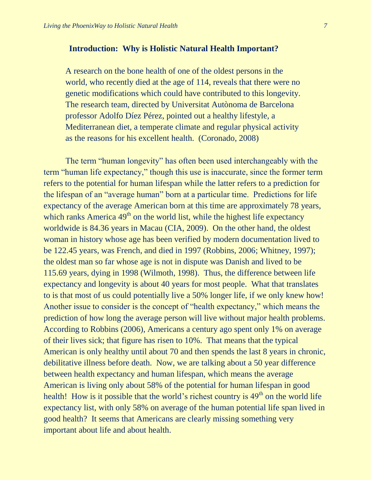## **Introduction: Why is Holistic Natural Health Important?**

A research on the bone health of one of the oldest persons in the world, who recently died at the age of 114, reveals that there were no genetic modifications which could have contributed to this longevity. The research team, directed by Universitat Autònoma de Barcelona professor Adolfo Díez Pérez, pointed out a healthy lifestyle, a Mediterranean diet, a temperate climate and regular physical activity as the reasons for his excellent health. (Coronado, 2008)

The term "human longevity" has often been used interchangeably with the term "human life expectancy," though this use is inaccurate, since the former term refers to the potential for human lifespan while the latter refers to a prediction for the lifespan of an "average human" born at a particular time. Predictions for life expectancy of the average American born at this time are approximately 78 years, which ranks America  $49<sup>th</sup>$  on the world list, while the highest life expectancy worldwide is 84.36 years in Macau (CIA, 2009). On the other hand, the oldest woman in history whose age has been verified by modern documentation lived to be 122.45 years, was French, and died in 1997 (Robbins, 2006; Whitney, 1997); the oldest man so far whose age is not in dispute was Danish and lived to be 115.69 years, dying in 1998 (Wilmoth, 1998). Thus, the difference between life expectancy and longevity is about 40 years for most people. What that translates to is that most of us could potentially live a 50% longer life, if we only knew how! Another issue to consider is the concept of "health expectancy," which means the prediction of how long the average person will live without major health problems. According to Robbins (2006), Americans a century ago spent only 1% on average of their lives sick; that figure has risen to 10%. That means that the typical American is only healthy until about 70 and then spends the last 8 years in chronic, debilitative illness before death. Now, we are talking about a 50 year difference between health expectancy and human lifespan, which means the average American is living only about 58% of the potential for human lifespan in good health! How is it possible that the world's richest country is  $49<sup>th</sup>$  on the world life expectancy list, with only 58% on average of the human potential life span lived in good health? It seems that Americans are clearly missing something very important about life and about health.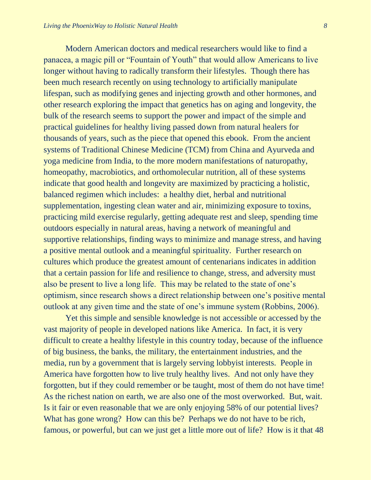Modern American doctors and medical researchers would like to find a panacea, a magic pill or "Fountain of Youth" that would allow Americans to live longer without having to radically transform their lifestyles. Though there has been much research recently on using technology to artificially manipulate lifespan, such as modifying genes and injecting growth and other hormones, and other research exploring the impact that genetics has on aging and longevity, the bulk of the research seems to support the power and impact of the simple and practical guidelines for healthy living passed down from natural healers for thousands of years, such as the piece that opened this ebook. From the ancient systems of Traditional Chinese Medicine (TCM) from China and Ayurveda and yoga medicine from India, to the more modern manifestations of naturopathy, homeopathy, macrobiotics, and orthomolecular nutrition, all of these systems indicate that good health and longevity are maximized by practicing a holistic, balanced regimen which includes: a healthy diet, herbal and nutritional supplementation, ingesting clean water and air, minimizing exposure to toxins, practicing mild exercise regularly, getting adequate rest and sleep, spending time outdoors especially in natural areas, having a network of meaningful and supportive relationships, finding ways to minimize and manage stress, and having a positive mental outlook and a meaningful spirituality. Further research on cultures which produce the greatest amount of centenarians indicates in addition that a certain passion for life and resilience to change, stress, and adversity must also be present to live a long life. This may be related to the state of one's optimism, since research shows a direct relationship between one's positive mental outlook at any given time and the state of one's immune system (Robbins, 2006).

Yet this simple and sensible knowledge is not accessible or accessed by the vast majority of people in developed nations like America. In fact, it is very difficult to create a healthy lifestyle in this country today, because of the influence of big business, the banks, the military, the entertainment industries, and the media, run by a government that is largely serving lobbyist interests. People in America have forgotten how to live truly healthy lives. And not only have they forgotten, but if they could remember or be taught, most of them do not have time! As the richest nation on earth, we are also one of the most overworked. But, wait. Is it fair or even reasonable that we are only enjoying 58% of our potential lives? What has gone wrong? How can this be? Perhaps we do not have to be rich, famous, or powerful, but can we just get a little more out of life? How is it that 48